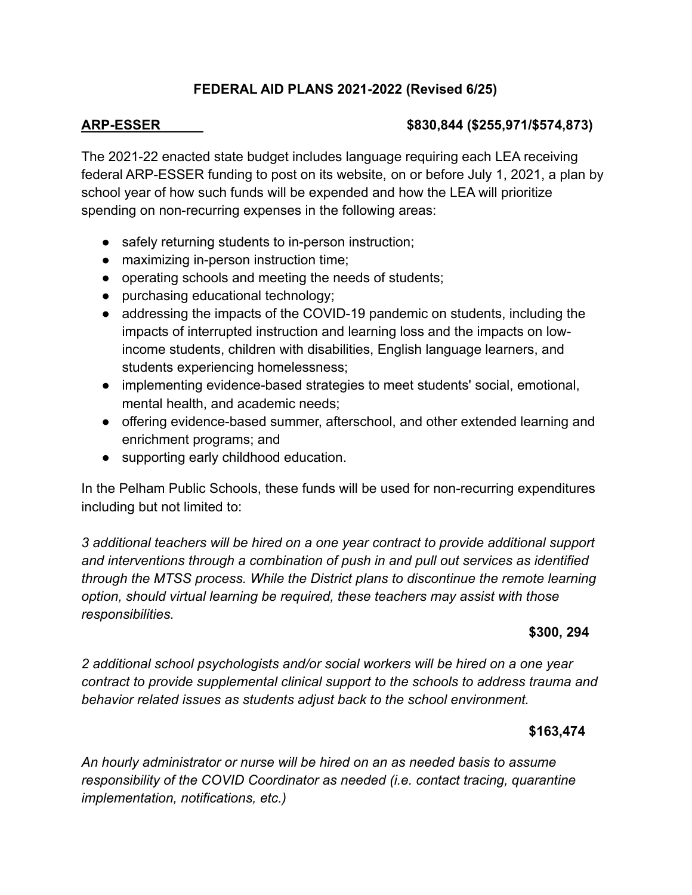## **FEDERAL AID PLANS 2021-2022 (Revised 6/25)**

## **ARP-ESSER \$830,844 (\$255,971/\$574,873)**

The 2021-22 enacted state budget includes language requiring each LEA receiving federal ARP-ESSER funding to post on its website, on or before July 1, 2021, a plan by school year of how such funds will be expended and how the LEA will prioritize spending on non-recurring expenses in the following areas:

- safely returning students to in-person instruction;
- maximizing in-person instruction time;
- operating schools and meeting the needs of students;
- purchasing educational technology;
- addressing the impacts of the COVID-19 pandemic on students, including the impacts of interrupted instruction and learning loss and the impacts on lowincome students, children with disabilities, English language learners, and students experiencing homelessness;
- implementing evidence-based strategies to meet students' social, emotional, mental health, and academic needs;
- offering evidence-based summer, afterschool, and other extended learning and enrichment programs; and
- supporting early childhood education.

In the Pelham Public Schools, these funds will be used for non-recurring expenditures including but not limited to:

*3 additional teachers will be hired on a one year contract to provide additional support and interventions through a combination of push in and pull out services as identified through the MTSS process. While the District plans to discontinue the remote learning option, should virtual learning be required, these teachers may assist with those responsibilities.*

#### **\$300, 294**

*2 additional school psychologists and/or social workers will be hired on a one year contract to provide supplemental clinical support to the schools to address trauma and behavior related issues as students adjust back to the school environment.*

## **\$163,474**

*An hourly administrator or nurse will be hired on an as needed basis to assume responsibility of the COVID Coordinator as needed (i.e. contact tracing, quarantine implementation, notifications, etc.)*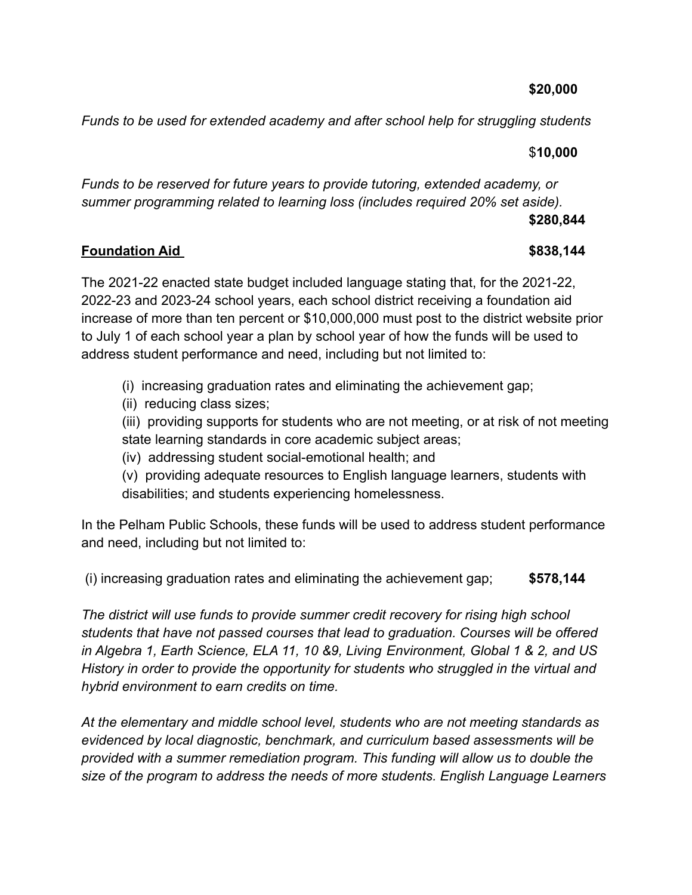### **\$20,000**

*Funds to be used for extended academy and after school help for struggling students*

### \$**10,000**

*Funds to be reserved for future years to provide tutoring, extended academy, or summer programming related to learning loss (includes required 20% set aside).* **\$280,844**

# **Foundation Aid \$838,144**

The 2021-22 enacted state budget included language stating that, for the 2021-22, 2022-23 and 2023-24 school years, each school district receiving a foundation aid increase of more than ten percent or \$10,000,000 must post to the district website prior to July 1 of each school year a plan by school year of how the funds will be used to address student performance and need, including but not limited to:

- (i) increasing graduation rates and eliminating the achievement gap;
- (ii) reducing class sizes;

(iii) providing supports for students who are not meeting, or at risk of not meeting state learning standards in core academic subject areas;

(iv) addressing student social-emotional health; and

(v) providing adequate resources to English language learners, students with disabilities; and students experiencing homelessness.

In the Pelham Public Schools, these funds will be used to address student performance and need, including but not limited to:

(i) increasing graduation rates and eliminating the achievement gap; **\$578,144**

*The district will use funds to provide summer credit recovery for rising high school students that have not passed courses that lead to graduation. Courses will be offered in Algebra 1, Earth Science, ELA 11, 10 &9, Living Environment, Global 1 & 2, and US History in order to provide the opportunity for students who struggled in the virtual and hybrid environment to earn credits on time.*

*At the elementary and middle school level, students who are not meeting standards as evidenced by local diagnostic, benchmark, and curriculum based assessments will be provided with a summer remediation program. This funding will allow us to double the size of the program to address the needs of more students. English Language Learners*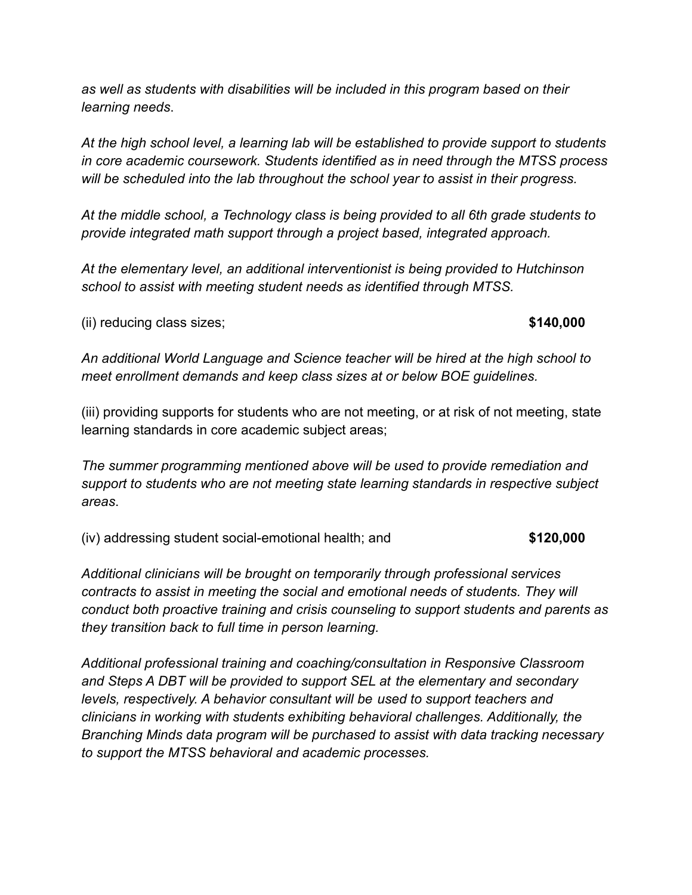*as well as students with disabilities will be included in this program based on their learning needs*.

*At the high school level, a learning lab will be established to provide support to students in core academic coursework. Students identified as in need through the MTSS process will be scheduled into the lab throughout the school year to assist in their progress.*

*At the middle school, a Technology class is being provided to all 6th grade students to provide integrated math support through a project based, integrated approach.*

*At the elementary level, an additional interventionist is being provided to Hutchinson school to assist with meeting student needs as identified through MTSS.*

(ii) reducing class sizes; **\$140,000**

*An additional World Language and Science teacher will be hired at the high school to meet enrollment demands and keep class sizes at or below BOE guidelines.*

(iii) providing supports for students who are not meeting, or at risk of not meeting, state learning standards in core academic subject areas;

*The summer programming mentioned above will be used to provide remediation and support to students who are not meeting state learning standards in respective subject areas*.

(iv) addressing student social-emotional health; and **\$120,000**

*Additional clinicians will be brought on temporarily through professional services contracts to assist in meeting the social and emotional needs of students. They will conduct both proactive training and crisis counseling to support students and parents as they transition back to full time in person learning.*

*Additional professional training and coaching/consultation in Responsive Classroom and Steps A DBT will be provided to support SEL at the elementary and secondary levels, respectively. A behavior consultant will be used to support teachers and clinicians in working with students exhibiting behavioral challenges. Additionally, the Branching Minds data program will be purchased to assist with data tracking necessary to support the MTSS behavioral and academic processes.*